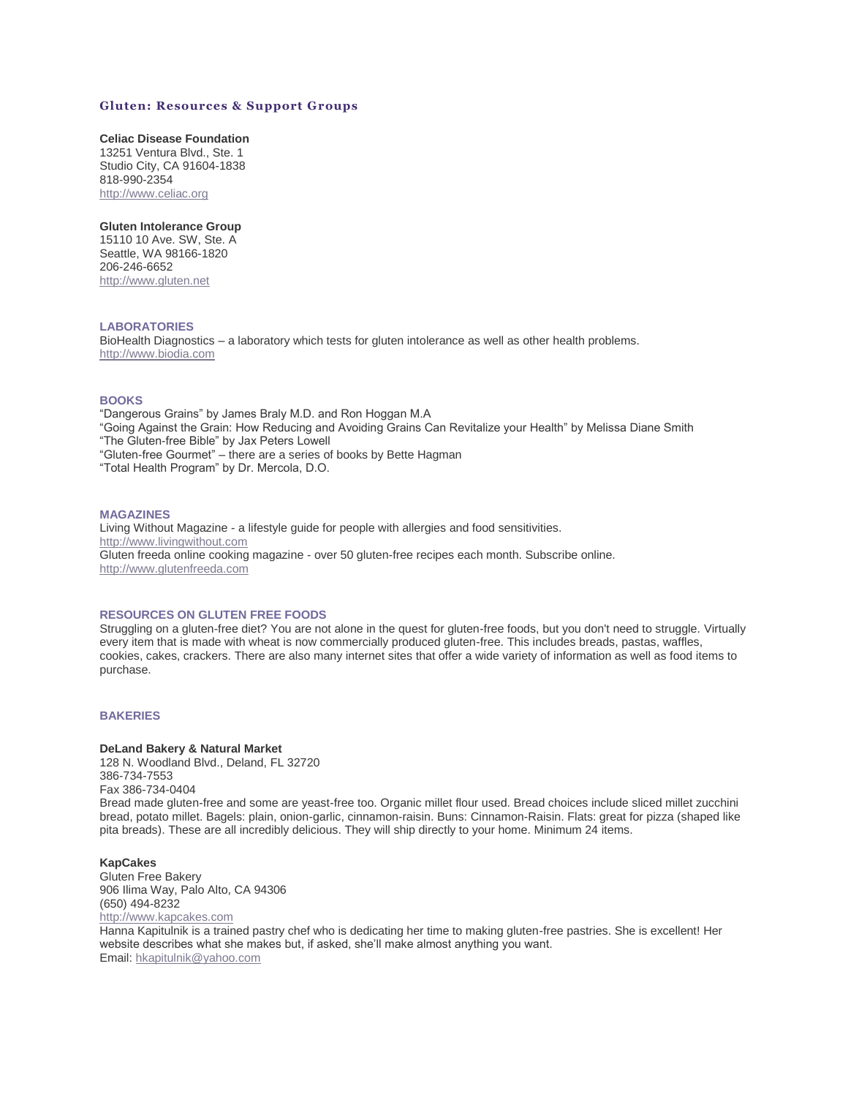# **Gluten: Resources & Support Groups**

# **Celiac Disease Foundation**

13251 Ventura Blvd., Ste. 1 Studio City, CA 91604-1838 818-990-2354 [http://www.celiac.org](https://web.archive.org/web/20150512100355/http:/www.celiac.org/)

# **Gluten Intolerance Group**

15110 10 Ave. SW, Ste. A Seattle, WA 98166-1820 206-246-6652 [http://www.gluten.net](https://web.archive.org/web/20150512100355/http:/www.gluten.net/)

# **LABORATORIES**

BioHealth Diagnostics – a laboratory which tests for gluten intolerance as well as other health problems. [http://www.biodia.com](https://web.archive.org/web/20150512100355/http:/www.biodia.com/)

#### **BOOKS**

"Dangerous Grains" by James Braly M.D. and Ron Hoggan M.A "Going Against the Grain: How Reducing and Avoiding Grains Can Revitalize your Health" by Melissa Diane Smith "The Gluten-free Bible" by Jax Peters Lowell "Gluten-free Gourmet" – there are a series of books by Bette Hagman "Total Health Program" by Dr. Mercola, D.O.

#### **MAGAZINES**

Living Without Magazine - a lifestyle guide for people with allergies and food sensitivities. [http://www.livingwithout.com](https://web.archive.org/web/20150512100355/http:/www.livingwithout.com/) Gluten freeda online cooking magazine - over 50 gluten-free recipes each month. Subscribe online. [http://www.glutenfreeda.com](https://web.archive.org/web/20150512100355/http:/www.glutenfreeda.com/)

## **RESOURCES ON GLUTEN FREE FOODS**

Struggling on a gluten-free diet? You are not alone in the quest for gluten-free foods, but you don't need to struggle. Virtually every item that is made with wheat is now commercially produced gluten-free. This includes breads, pastas, waffles, cookies, cakes, crackers. There are also many internet sites that offer a wide variety of information as well as food items to purchase.

## **BAKERIES**

#### **DeLand Bakery & Natural Market**

128 N. Woodland Blvd., Deland, FL 32720 386-734-7553 Fax 386-734-0404 Bread made gluten-free and some are yeast-free too. Organic millet flour used. Bread choices include sliced millet zucchini bread, potato millet. Bagels: plain, onion-garlic, cinnamon-raisin. Buns: Cinnamon-Raisin. Flats: great for pizza (shaped like pita breads). These are all incredibly delicious. They will ship directly to your home. Minimum 24 items.

# **KapCakes**

Gluten Free Bakery 906 Ilima Way, Palo Alto, CA 94306 (650) 494-8232 [http://www.kapcakes.com](https://web.archive.org/web/20150512100355/http:/www.kapcakes.com/)

Hanna Kapitulnik is a trained pastry chef who is dedicating her time to making gluten-free pastries. She is excellent! Her website describes what she makes but, if asked, she'll make almost anything you want. Email: [hkapitulnik@yahoo.com](mailto:hkapitulnik@yahoo.com)